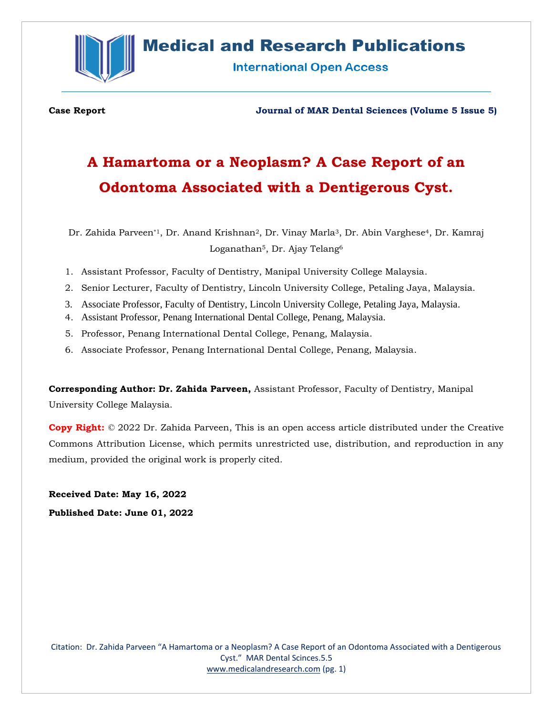

# **Medical and Research Publications**

**International Open Access** 

**Case Report Journal of MAR Dental Sciences (Volume 5 Issue 5)**

# **A Hamartoma or a Neoplasm? A Case Report of an Odontoma Associated with a Dentigerous Cyst.**

Dr. Zahida Parveen\*1, Dr. Anand Krishnan2, Dr. Vinay Marla3, Dr. Abin Varghese4, Dr. Kamraj Loganathan<sup>5</sup>, Dr. Ajay Telang<sup>6</sup>

- 1. Assistant Professor, Faculty of Dentistry, Manipal University College Malaysia.
- 2. Senior Lecturer, Faculty of Dentistry, Lincoln University College, Petaling Jaya, Malaysia.
- 3. Associate Professor, Faculty of Dentistry, Lincoln University College, Petaling Jaya, Malaysia.
- 4. Assistant Professor, Penang International Dental College, Penang, Malaysia.
- 5. Professor, Penang International Dental College, Penang, Malaysia.
- 6. Associate Professor, Penang International Dental College, Penang, Malaysia.

**Corresponding Author: Dr. Zahida Parveen,** Assistant Professor, Faculty of Dentistry, Manipal University College Malaysia.

**Copy Right:** © 2022 Dr. Zahida Parveen, This is an open access article distributed under the Creative Commons Attribution License, which permits unrestricted use, distribution, and reproduction in any medium, provided the original work is properly cited.

**Received Date: May 16, 2022 Published Date: June 01, 2022**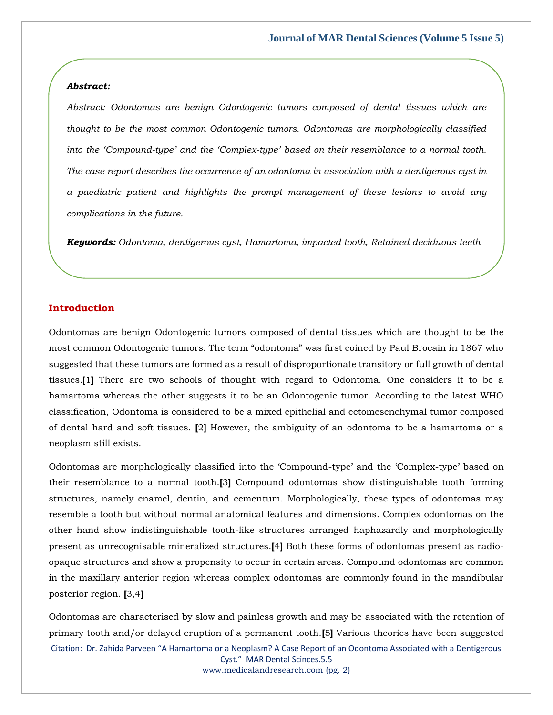#### *Abstract:*

*Abstract: Odontomas are benign Odontogenic tumors composed of dental tissues which are thought to be the most common Odontogenic tumors. Odontomas are morphologically classified into the 'Compound-type' and the 'Complex-type' based on their resemblance to a normal tooth. The case report describes the occurrence of an odontoma in association with a dentigerous cyst in a paediatric patient and highlights the prompt management of these lesions to avoid any complications in the future.*

*Keywords: Odontoma, dentigerous cyst, Hamartoma, impacted tooth, Retained deciduous teeth*

# **Introduction**

Odontomas are benign Odontogenic tumors composed of dental tissues which are thought to be the most common Odontogenic tumors. The term "odontoma" was first coined by Paul Brocain in 1867 who suggested that these tumors are formed as a result of disproportionate transitory or full growth of dental tissues.**[**1**]** There are two schools of thought with regard to Odontoma. One considers it to be a hamartoma whereas the other suggests it to be an Odontogenic tumor. According to the latest WHO classification, Odontoma is considered to be a mixed epithelial and ectomesenchymal tumor composed of dental hard and soft tissues. **[**2**]** However, the ambiguity of an odontoma to be a hamartoma or a neoplasm still exists.

Odontomas are morphologically classified into the 'Compound-type' and the 'Complex-type' based on their resemblance to a normal tooth.**[**3**]** Compound odontomas show distinguishable tooth forming structures, namely enamel, dentin, and cementum. Morphologically, these types of odontomas may resemble a tooth but without normal anatomical features and dimensions. Complex odontomas on the other hand show indistinguishable tooth-like structures arranged haphazardly and morphologically present as unrecognisable mineralized structures.**[**4**]** Both these forms of odontomas present as radioopaque structures and show a propensity to occur in certain areas. Compound odontomas are common in the maxillary anterior region whereas complex odontomas are commonly found in the mandibular posterior region. **[**3,4**]**

Citation: Dr. Zahida Parveen "A Hamartoma or a Neoplasm? A Case Report of an Odontoma Associated with a Dentigerous Cyst." MAR Dental Scinces.5.5 Odontomas are characterised by slow and painless growth and may be associated with the retention of primary tooth and/or delayed eruption of a permanent tooth.**[**5**]** Various theories have been suggested

[www.medicalandresearch.com](http://www.medicalandresearch.com/) (pg. 2)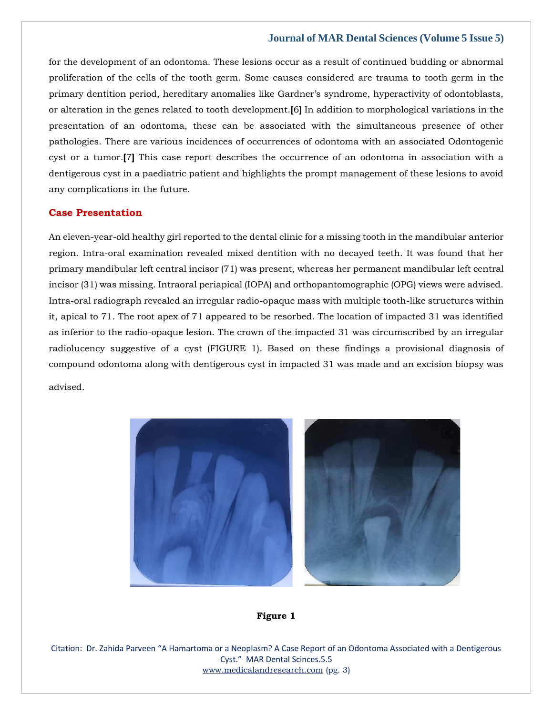for the development of an odontoma. These lesions occur as a result of continued budding or abnormal proliferation of the cells of the tooth germ. Some causes considered are trauma to tooth germ in the primary dentition period, hereditary anomalies like Gardner's syndrome, hyperactivity of odontoblasts, or alteration in the genes related to tooth development.**[**6**]** In addition to morphological variations in the presentation of an odontoma, these can be associated with the simultaneous presence of other pathologies. There are various incidences of occurrences of odontoma with an associated Odontogenic cyst or a tumor.**[**7**]** This case report describes the occurrence of an odontoma in association with a dentigerous cyst in a paediatric patient and highlights the prompt management of these lesions to avoid any complications in the future.

# **Case Presentation**

An eleven-year-old healthy girl reported to the dental clinic for a missing tooth in the mandibular anterior region. Intra-oral examination revealed mixed dentition with no decayed teeth. It was found that her primary mandibular left central incisor (71) was present, whereas her permanent mandibular left central incisor (31) was missing. Intraoral periapical (IOPA) and orthopantomographic (OPG) views were advised. Intra-oral radiograph revealed an irregular radio-opaque mass with multiple tooth-like structures within it, apical to 71. The root apex of 71 appeared to be resorbed. The location of impacted 31 was identified as inferior to the radio-opaque lesion. The crown of the impacted 31 was circumscribed by an irregular radiolucency suggestive of a cyst (FIGURE 1). Based on these findings a provisional diagnosis of compound odontoma along with dentigerous cyst in impacted 31 was made and an excision biopsy was

advised.



#### **Figure 1**

Citation: Dr. Zahida Parveen "A Hamartoma or a Neoplasm? A Case Report of an Odontoma Associated with a Dentigerous Cyst." MAR Dental Scinces.5.5 [www.medicalandresearch.com](http://www.medicalandresearch.com/) (pg. 3)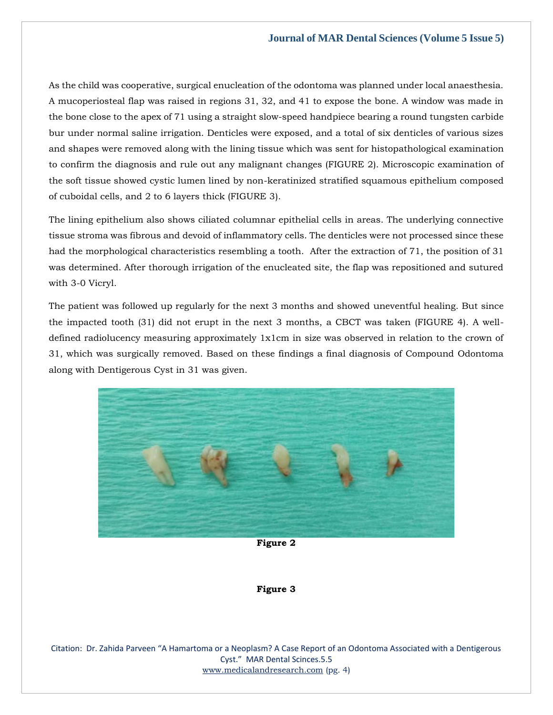As the child was cooperative, surgical enucleation of the odontoma was planned under local anaesthesia. A mucoperiosteal flap was raised in regions 31, 32, and 41 to expose the bone. A window was made in the bone close to the apex of 71 using a straight slow-speed handpiece bearing a round tungsten carbide bur under normal saline irrigation. Denticles were exposed, and a total of six denticles of various sizes and shapes were removed along with the lining tissue which was sent for histopathological examination to confirm the diagnosis and rule out any malignant changes (FIGURE 2). Microscopic examination of the soft tissue showed cystic lumen lined by non-keratinized stratified squamous epithelium composed of cuboidal cells, and 2 to 6 layers thick (FIGURE 3).

The lining epithelium also shows ciliated columnar epithelial cells in areas. The underlying connective tissue stroma was fibrous and devoid of inflammatory cells. The denticles were not processed since these had the morphological characteristics resembling a tooth. After the extraction of 71, the position of 31 was determined. After thorough irrigation of the enucleated site, the flap was repositioned and sutured with 3-0 Vicryl.

The patient was followed up regularly for the next 3 months and showed uneventful healing. But since the impacted tooth (31) did not erupt in the next 3 months, a CBCT was taken (FIGURE 4). A welldefined radiolucency measuring approximately 1x1cm in size was observed in relation to the crown of 31, which was surgically removed. Based on these findings a final diagnosis of Compound Odontoma along with Dentigerous Cyst in 31 was given.



**Figure 2**

#### **Figure 3**

Citation: Dr. Zahida Parveen "A Hamartoma or a Neoplasm? A Case Report of an Odontoma Associated with a Dentigerous Cyst." MAR Dental Scinces.5.5 [www.medicalandresearch.com](http://www.medicalandresearch.com/) (pg. 4)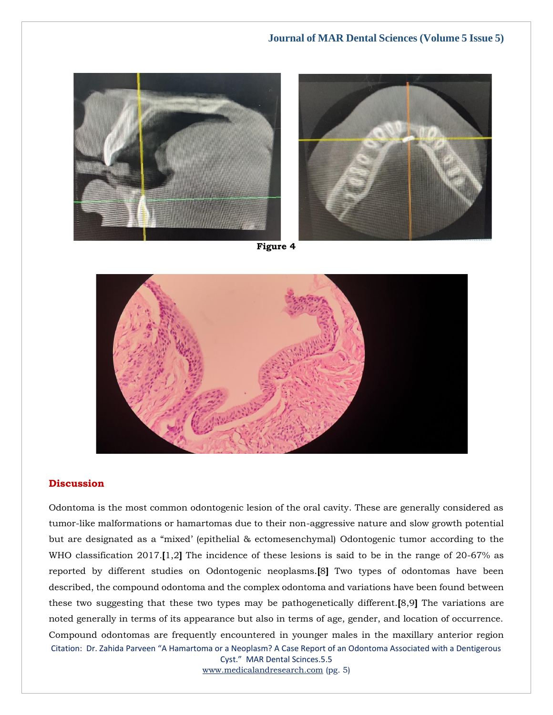



**Figure 4**



# **Discussion**

Citation: Dr. Zahida Parveen "A Hamartoma or a Neoplasm? A Case Report of an Odontoma Associated with a Dentigerous Odontoma is the most common odontogenic lesion of the oral cavity. These are generally considered as tumor-like malformations or hamartomas due to their non-aggressive nature and slow growth potential but are designated as a "mixed' (epithelial & ectomesenchymal) Odontogenic tumor according to the WHO classification 2017.**[**1,2**]** The incidence of these lesions is said to be in the range of 20-67% as reported by different studies on Odontogenic neoplasms.**[**8**]** Two types of odontomas have been described, the compound odontoma and the complex odontoma and variations have been found between these two suggesting that these two types may be pathogenetically different.**[**8,9**]** The variations are noted generally in terms of its appearance but also in terms of age, gender, and location of occurrence. Compound odontomas are frequently encountered in younger males in the maxillary anterior region

Cyst." MAR Dental Scinces.5.5 [www.medicalandresearch.com](http://www.medicalandresearch.com/) (pg. 5)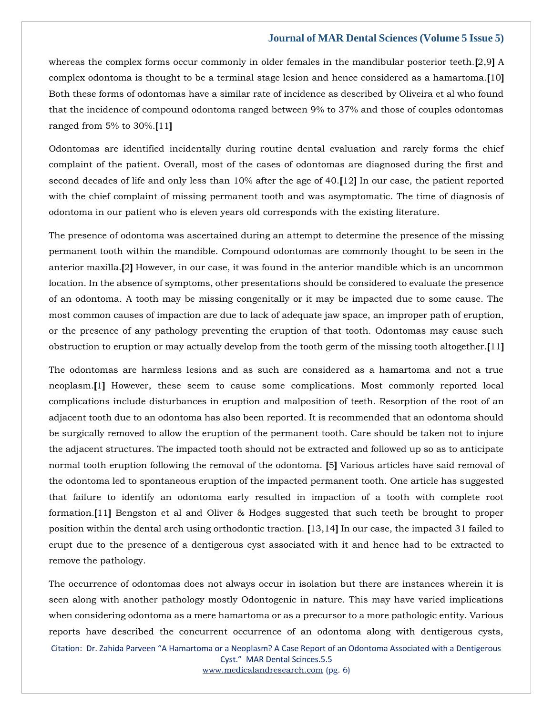whereas the complex forms occur commonly in older females in the mandibular posterior teeth.**[**2,9**]** A complex odontoma is thought to be a terminal stage lesion and hence considered as a hamartoma.**[**10**]** Both these forms of odontomas have a similar rate of incidence as described by Oliveira et al who found that the incidence of compound odontoma ranged between 9% to 37% and those of couples odontomas ranged from 5% to 30%.**[**11**]**

Odontomas are identified incidentally during routine dental evaluation and rarely forms the chief complaint of the patient. Overall, most of the cases of odontomas are diagnosed during the first and second decades of life and only less than 10% after the age of 40.**[**12**]** In our case, the patient reported with the chief complaint of missing permanent tooth and was asymptomatic. The time of diagnosis of odontoma in our patient who is eleven years old corresponds with the existing literature.

The presence of odontoma was ascertained during an attempt to determine the presence of the missing permanent tooth within the mandible. Compound odontomas are commonly thought to be seen in the anterior maxilla.**[**2**]** However, in our case, it was found in the anterior mandible which is an uncommon location. In the absence of symptoms, other presentations should be considered to evaluate the presence of an odontoma. A tooth may be missing congenitally or it may be impacted due to some cause. The most common causes of impaction are due to lack of adequate jaw space, an improper path of eruption, or the presence of any pathology preventing the eruption of that tooth. Odontomas may cause such obstruction to eruption or may actually develop from the tooth germ of the missing tooth altogether.**[**11**]**

The odontomas are harmless lesions and as such are considered as a hamartoma and not a true neoplasm.**[**1**]** However, these seem to cause some complications. Most commonly reported local complications include disturbances in eruption and malposition of teeth. Resorption of the root of an adjacent tooth due to an odontoma has also been reported. It is recommended that an odontoma should be surgically removed to allow the eruption of the permanent tooth. Care should be taken not to injure the adjacent structures. The impacted tooth should not be extracted and followed up so as to anticipate normal tooth eruption following the removal of the odontoma. **[**5**]** Various articles have said removal of the odontoma led to spontaneous eruption of the impacted permanent tooth. One article has suggested that failure to identify an odontoma early resulted in impaction of a tooth with complete root formation.**[**11**]** Bengston et al and Oliver & Hodges suggested that such teeth be brought to proper position within the dental arch using orthodontic traction. **[**13,14**]** In our case, the impacted 31 failed to erupt due to the presence of a dentigerous cyst associated with it and hence had to be extracted to remove the pathology.

Citation: Dr. Zahida Parveen "A Hamartoma or a Neoplasm? A Case Report of an Odontoma Associated with a Dentigerous Cyst." MAR Dental Scinces.5.5 The occurrence of odontomas does not always occur in isolation but there are instances wherein it is seen along with another pathology mostly Odontogenic in nature. This may have varied implications when considering odontoma as a mere hamartoma or as a precursor to a more pathologic entity. Various reports have described the concurrent occurrence of an odontoma along with dentigerous cysts,

[www.medicalandresearch.com](http://www.medicalandresearch.com/) (pg. 6)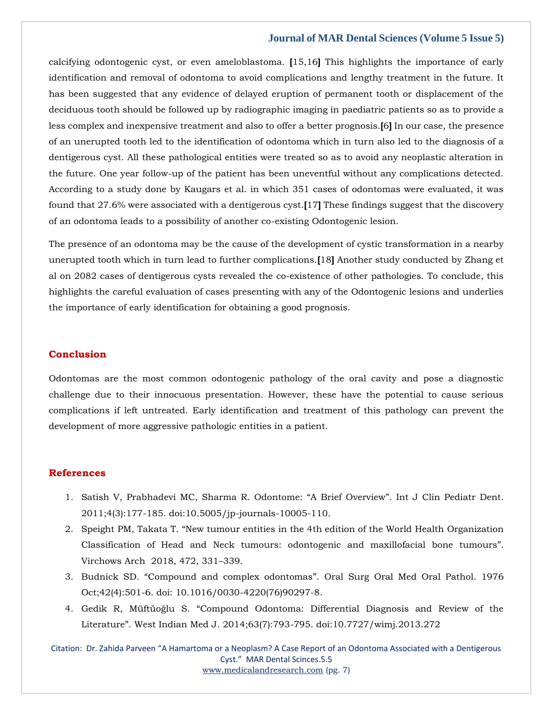calcifying odontogenic cyst, or even ameloblastoma. **[**15,16**]** This highlights the importance of early identification and removal of odontoma to avoid complications and lengthy treatment in the future. It has been suggested that any evidence of delayed eruption of permanent tooth or displacement of the deciduous tooth should be followed up by radiographic imaging in paediatric patients so as to provide a less complex and inexpensive treatment and also to offer a better prognosis.**[**6**]** In our case, the presence of an unerupted tooth led to the identification of odontoma which in turn also led to the diagnosis of a dentigerous cyst. All these pathological entities were treated so as to avoid any neoplastic alteration in the future. One year follow-up of the patient has been uneventful without any complications detected. According to a study done by Kaugars et al. in which 351 cases of odontomas were evaluated, it was found that 27.6% were associated with a dentigerous cyst.**[**17**]** These findings suggest that the discovery of an odontoma leads to a possibility of another co-existing Odontogenic lesion.

The presence of an odontoma may be the cause of the development of cystic transformation in a nearby unerupted tooth which in turn lead to further complications.**[**18**]** Another study conducted by Zhang et al on 2082 cases of dentigerous cysts revealed the co-existence of other pathologies. To conclude, this highlights the careful evaluation of cases presenting with any of the Odontogenic lesions and underlies the importance of early identification for obtaining a good prognosis.

## **Conclusion**

Odontomas are the most common odontogenic pathology of the oral cavity and pose a diagnostic challenge due to their innocuous presentation. However, these have the potential to cause serious complications if left untreated. Early identification and treatment of this pathology can prevent the development of more aggressive pathologic entities in a patient.

#### **References**

- 1. [Satish V, Prabhadevi MC, Sharma R. Odontome:](https://www.google.com/search?q=%E2%80%9CA+Brief+Overview%E2%80%9D&rlz=1C1CHBF_enIN1000IN1000&oq=%E2%80%9CA+Brief+Overview%E2%80%9D&aqs=chrome..69i57j0i512l9.850j0j15&sourceid=chrome&ie=UTF-8) "A Brief Overview". Int J Clin Pediatr Dent. [2011;4\(3\):177-185. doi:10.5005/jp-journals-10005-110.](https://www.google.com/search?q=%E2%80%9CA+Brief+Overview%E2%80%9D&rlz=1C1CHBF_enIN1000IN1000&oq=%E2%80%9CA+Brief+Overview%E2%80%9D&aqs=chrome..69i57j0i512l9.850j0j15&sourceid=chrome&ie=UTF-8)
- 2. Speight PM, Takata T. "[New tumour entities in the 4th edition of the World Health Organization](https://www.google.com/search?q=%E2%80%9CNew+tumour+entities+in+the+4th+edition+of+the+World+Health+Organization+Classification+of+Head+and+Neck+tumours%3A+odontogenic+and+maxillofacial+bone+tumours%E2%80%9D&rlz=1C1CHBF_enIN1000IN1000&sxsrf=ALiCzsZHzJ0XP4XE5tXyoU5YiC8NkAqJLQ%3A1652934790180&ei=hsiFYojECruG2roP3MOEoAY&ved=0ahUKEwiIn4X43er3AhU7g1YBHdwhAWQQ4dUDCA4&uact=5&oq=%E2%80%9CNew+tumour+entities+in+the+4th+edition+of+the+World+Health+Organization+Classification+of+Head+and+Neck+tumours%3A+odontogenic+and+maxillofacial+bone+tumours%E2%80%9D&gs_lcp=Cgdnd3Mtd2l6EAMyBwgjEOoCECcyBwgjEOoCECcyBwgjEOoCECcyBwgjEOoCECcyBwgjEOoCECcyBwgjEOoCECcyBwgjEOoCECcyBwgjEOoCECcyBwgjEOoCECcyBwgjEOoCECdKBAhBGABKBAhGGABQrxFYrxFgvxhoAXABeACAAQCIAQCSAQCYAQCgAQGgAQKwAQrAAQE&sclient=gws-wiz)  [Classification of Head and Neck tumours: odontogenic and maxillofacial bone tumours](https://www.google.com/search?q=%E2%80%9CNew+tumour+entities+in+the+4th+edition+of+the+World+Health+Organization+Classification+of+Head+and+Neck+tumours%3A+odontogenic+and+maxillofacial+bone+tumours%E2%80%9D&rlz=1C1CHBF_enIN1000IN1000&sxsrf=ALiCzsZHzJ0XP4XE5tXyoU5YiC8NkAqJLQ%3A1652934790180&ei=hsiFYojECruG2roP3MOEoAY&ved=0ahUKEwiIn4X43er3AhU7g1YBHdwhAWQQ4dUDCA4&uact=5&oq=%E2%80%9CNew+tumour+entities+in+the+4th+edition+of+the+World+Health+Organization+Classification+of+Head+and+Neck+tumours%3A+odontogenic+and+maxillofacial+bone+tumours%E2%80%9D&gs_lcp=Cgdnd3Mtd2l6EAMyBwgjEOoCECcyBwgjEOoCECcyBwgjEOoCECcyBwgjEOoCECcyBwgjEOoCECcyBwgjEOoCECcyBwgjEOoCECcyBwgjEOoCECcyBwgjEOoCECcyBwgjEOoCECdKBAhBGABKBAhGGABQrxFYrxFgvxhoAXABeACAAQCIAQCSAQCYAQCgAQGgAQKwAQrAAQE&sclient=gws-wiz)". [Virchows Arch 2018, 472, 331](https://www.google.com/search?q=%E2%80%9CNew+tumour+entities+in+the+4th+edition+of+the+World+Health+Organization+Classification+of+Head+and+Neck+tumours%3A+odontogenic+and+maxillofacial+bone+tumours%E2%80%9D&rlz=1C1CHBF_enIN1000IN1000&sxsrf=ALiCzsZHzJ0XP4XE5tXyoU5YiC8NkAqJLQ%3A1652934790180&ei=hsiFYojECruG2roP3MOEoAY&ved=0ahUKEwiIn4X43er3AhU7g1YBHdwhAWQQ4dUDCA4&uact=5&oq=%E2%80%9CNew+tumour+entities+in+the+4th+edition+of+the+World+Health+Organization+Classification+of+Head+and+Neck+tumours%3A+odontogenic+and+maxillofacial+bone+tumours%E2%80%9D&gs_lcp=Cgdnd3Mtd2l6EAMyBwgjEOoCECcyBwgjEOoCECcyBwgjEOoCECcyBwgjEOoCECcyBwgjEOoCECcyBwgjEOoCECcyBwgjEOoCECcyBwgjEOoCECcyBwgjEOoCECcyBwgjEOoCECdKBAhBGABKBAhGGABQrxFYrxFgvxhoAXABeACAAQCIAQCSAQCYAQCgAQGgAQKwAQrAAQE&sclient=gws-wiz)–339.
- 3. Budnick SD. "Compound and complex odontomas"[. Oral Surg Oral Med Oral Pathol. 1976](https://www.google.com/search?q=%E2%80%9CCompound+and+complex+odontomas%E2%80%9D&rlz=1C1CHBF_enIN1000IN1000&sxsrf=ALiCzsY59-PGSjLlcUBsvCQRJ57VFOI4dQ%3A1652934820585&ei=pMiFYoCuI4nQ2roPuvCAoAY&ved=0ahUKEwiAkMWG3ur3AhUJqFYBHTo4AGQQ4dUDCA4&uact=5&oq=%E2%80%9CCompound+and+complex+odontomas%E2%80%9D&gs_lcp=Cgdnd3Mtd2l6EAMyBAgAEA0yCAgAEB4QFhAKMggIABAeEA0QBToHCCMQ6gIQJ0oECEEYAEoECEYYAFC1D1i1D2DdHmgBcAF4AIABaIgBaJIBAzAuMZgBAKABAaABArABCsABAQ&sclient=gws-wiz)  [Oct;42\(4\):501-6. doi: 10.1016/0030-4220\(76\)90297-8.](https://www.google.com/search?q=%E2%80%9CCompound+and+complex+odontomas%E2%80%9D&rlz=1C1CHBF_enIN1000IN1000&sxsrf=ALiCzsY59-PGSjLlcUBsvCQRJ57VFOI4dQ%3A1652934820585&ei=pMiFYoCuI4nQ2roPuvCAoAY&ved=0ahUKEwiAkMWG3ur3AhUJqFYBHTo4AGQQ4dUDCA4&uact=5&oq=%E2%80%9CCompound+and+complex+odontomas%E2%80%9D&gs_lcp=Cgdnd3Mtd2l6EAMyBAgAEA0yCAgAEB4QFhAKMggIABAeEA0QBToHCCMQ6gIQJ0oECEEYAEoECEYYAFC1D1i1D2DdHmgBcAF4AIABaIgBaJIBAzAuMZgBAKABAaABArABCsABAQ&sclient=gws-wiz)
- 4. Gedik R, Müftüoğlu S. "[Compound Odontoma: Differential Diagnosis and Review of the](https://www.google.com/search?q=%E2%80%9CCompound+Odontoma%3A+Differential+Diagnosis+and+Review+of+the+Literature%E2%80%9D&rlz=1C1CHBF_enIN1000IN1000&sxsrf=ALiCzsbfXUYwORsBYHNwUBqpXITOpwQ-nw%3A1652934849347&ei=wciFYvrdFM-K2roP7b6LmAE&ved=0ahUKEwi6wqCU3ur3AhVPhVYBHW3fAhMQ4dUDCA4&uact=5&oq=%E2%80%9CCompound+Odontoma%3A+Differential+Diagnosis+and+Review+of+the+Literature%E2%80%9D&gs_lcp=Cgdnd3Mtd2l6EAMyBggAEB4QFjoHCCMQ6gIQJ0oECEEYAEoECEYYAFDsDljsDmDWHGgBcAF4AIABaYgBaZIBAzAuMZgBAKABAaABArABCsABAQ&sclient=gws-wiz)  Literature"[. West Indian Med J. 2014;63\(7\):793-795. doi:10.7727/wimj.2013.272](https://www.google.com/search?q=%E2%80%9CCompound+Odontoma%3A+Differential+Diagnosis+and+Review+of+the+Literature%E2%80%9D&rlz=1C1CHBF_enIN1000IN1000&sxsrf=ALiCzsbfXUYwORsBYHNwUBqpXITOpwQ-nw%3A1652934849347&ei=wciFYvrdFM-K2roP7b6LmAE&ved=0ahUKEwi6wqCU3ur3AhVPhVYBHW3fAhMQ4dUDCA4&uact=5&oq=%E2%80%9CCompound+Odontoma%3A+Differential+Diagnosis+and+Review+of+the+Literature%E2%80%9D&gs_lcp=Cgdnd3Mtd2l6EAMyBggAEB4QFjoHCCMQ6gIQJ0oECEEYAEoECEYYAFDsDljsDmDWHGgBcAF4AIABaYgBaZIBAzAuMZgBAKABAaABArABCsABAQ&sclient=gws-wiz)

Citation: Dr. Zahida Parveen "A Hamartoma or a Neoplasm? A Case Report of an Odontoma Associated with a Dentigerous Cyst." MAR Dental Scinces.5.5 [www.medicalandresearch.com](http://www.medicalandresearch.com/) (pg. 7)